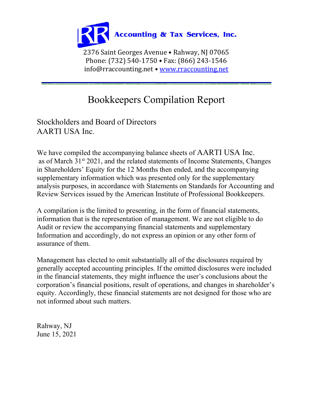

## Bookkeepers Compilation Report

Stockholders and Board of Directors AARTI USA Inc.

We have compiled the accompanying balance sheets of AARTI USA Inc. as of March 31<sup>st</sup> 2021, and the related statements of Income Statements, Changes in Shareholders' Equity for the 12 Months then ended, and the accompanying supplementary information which was presented only for the supplementary analysis purposes, in accordance with Statements on Standards for Accounting and Review Services issued by the American Institute of Professional Bookkeepers.

A compilation is the limited to presenting, in the form of financial statements, information that is the representation of management. We are not eligible to do Audit or review the accompanying financial statements and supplementary Information and accordingly, do not express an opinion or any other form of assurance of them.

Management has elected to omit substantially all of the disclosures required by generally accepted accounting principles. If the omitted disclosures were included in the financial statements, they might influence the user's conclusions about the corporation's financial positions, result of operations, and changes in shareholder's equity. Accordingly, these financial statements are not designed for those who are not informed about such matters.

Rahway, NJ June 15, 2021